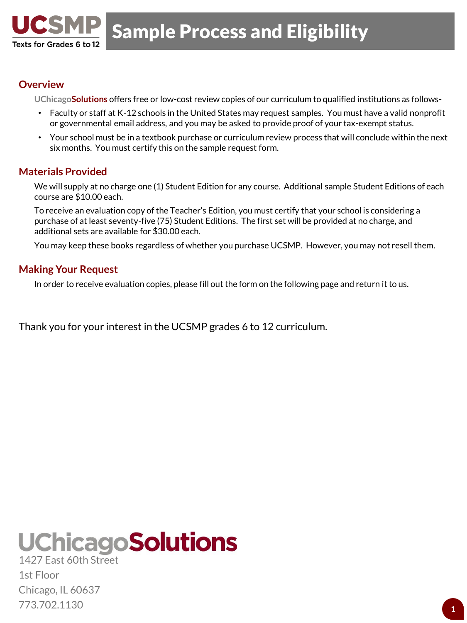

## **Overview**

Texts for Grades 6 to 12

**UChicagoSolutions** offers free or low-cost review copies of our curriculum to qualified institutions as follows-

- Faculty or staff at K-12 schools in the United States may request samples. You must have a valid nonprofit or governmental email address, and you may be asked to provide proof of your tax-exempt status.
- Your school must be in a textbook purchase or curriculum review process that will conclude within the next six months. You must certify this on the sample request form.

## **Materials Provided**

We will supply at no charge one (1) Student Edition for any course. Additional sample Student Editions of each course are \$10.00 each.

To receive an evaluation copy of the Teacher's Edition, you must certify that your school is considering a purchase of at least seventy-five (75) Student Editions. The first set will be provided at no charge, and additional sets are available for \$30.00 each.

You may keep these books regardless of whether you purchase UCSMP. However, you may not resell them.

### **Making Your Request**

In order to receive evaluation copies, please fill out the form on the following page and return it to us.

Thank you for your interest in the UCSMP grades 6 to 12 curriculum.

## **UChicagoSolutions** 1427 East 60th Street

1st Floor Chicago, IL 60637 773.702.1130